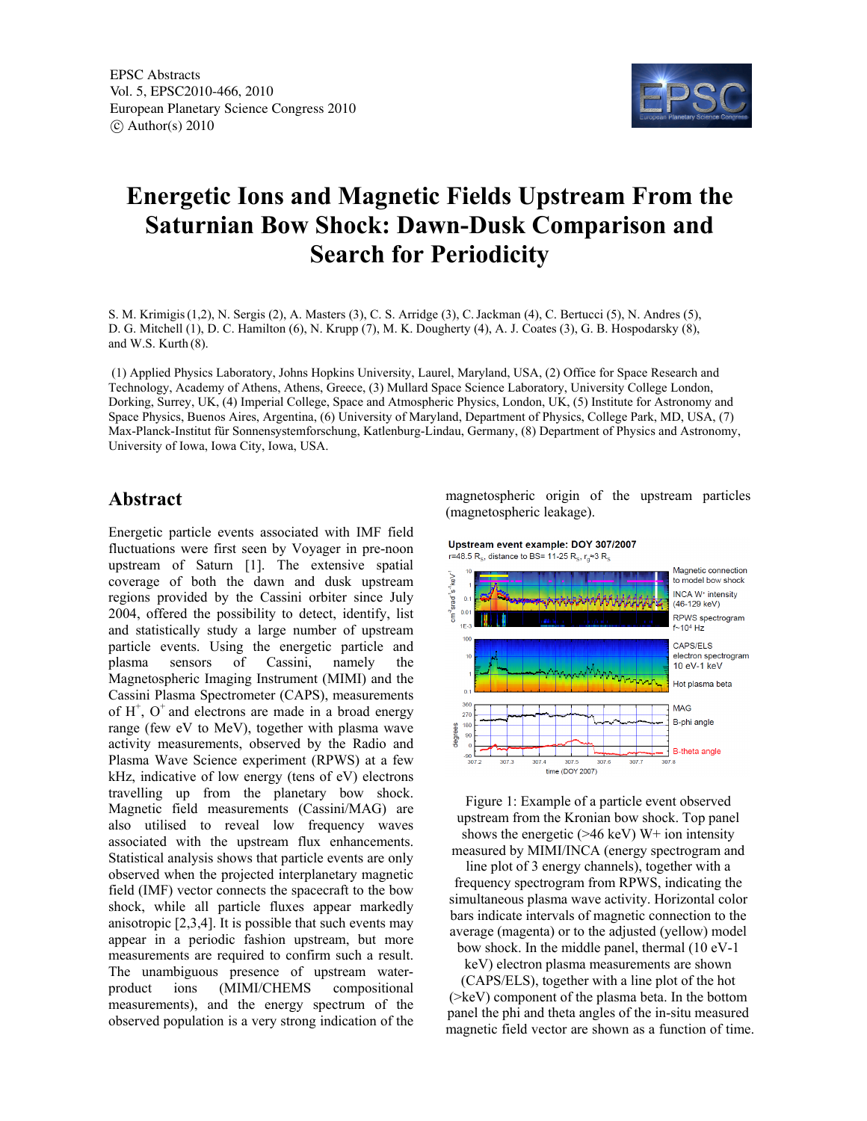

## **Energetic Ions and Magnetic Fields Upstream From the Saturnian Bow Shock: Dawn-Dusk Comparison and Search for Periodicity**

S. M. Krimigis(1,2), N. Sergis (2), A. Masters (3), C. S. Arridge (3), C.Jackman (4), C. Bertucci (5), N. Andres (5), D. G. Mitchell (1), D. C. Hamilton (6), N. Krupp (7), M. K. Dougherty (4), A. J. Coates (3), G. B. Hospodarsky (8), and W.S. Kurth (8).

 (1) Applied Physics Laboratory, Johns Hopkins University, Laurel, Maryland, USA, (2) Office for Space Research and Technology, Academy of Athens, Athens, Greece, (3) Mullard Space Science Laboratory, University College London, Dorking, Surrey, UK, (4) Imperial College, Space and Atmospheric Physics, London, UK, (5) Institute for Astronomy and Space Physics, Buenos Aires, Argentina, (6) University of Maryland, Department of Physics, College Park, MD, USA, (7) Max-Planck-Institut für Sonnensystemforschung, Katlenburg-Lindau, Germany, (8) Department of Physics and Astronomy, University of Iowa, Iowa City, Iowa, USA.

## **Abstract**

Energetic particle events associated with IMF field fluctuations were first seen by Voyager in pre-noon upstream of Saturn [1]. The extensive spatial coverage of both the dawn and dusk upstream regions provided by the Cassini orbiter since July 2004, offered the possibility to detect, identify, list and statistically study a large number of upstream particle events. Using the energetic particle and plasma sensors of Cassini, namely the Magnetospheric Imaging Instrument (MIMI) and the Cassini Plasma Spectrometer (CAPS), measurements of  $H^+$ ,  $O^+$  and electrons are made in a broad energy range (few eV to MeV), together with plasma wave activity measurements, observed by the Radio and Plasma Wave Science experiment (RPWS) at a few kHz, indicative of low energy (tens of eV) electrons travelling up from the planetary bow shock. Magnetic field measurements (Cassini/MAG) are also utilised to reveal low frequency waves associated with the upstream flux enhancements. Statistical analysis shows that particle events are only observed when the projected interplanetary magnetic field (IMF) vector connects the spacecraft to the bow shock, while all particle fluxes appear markedly anisotropic [2,3,4]. It is possible that such events may appear in a periodic fashion upstream, but more measurements are required to confirm such a result. The unambiguous presence of upstream waterproduct ions (MIMI/CHEMS compositional measurements), and the energy spectrum of the observed population is a very strong indication of the

magnetospheric origin of the upstream particles (magnetospheric leakage).





Figure 1: Example of a particle event observed upstream from the Kronian bow shock. Top panel shows the energetic  $($ >46 keV) W+ ion intensity measured by MIMI/INCA (energy spectrogram and

line plot of 3 energy channels), together with a frequency spectrogram from RPWS, indicating the simultaneous plasma wave activity. Horizontal color bars indicate intervals of magnetic connection to the average (magenta) or to the adjusted (yellow) model bow shock. In the middle panel, thermal (10 eV-1

keV) electron plasma measurements are shown

(CAPS/ELS), together with a line plot of the hot (>keV) component of the plasma beta. In the bottom panel the phi and theta angles of the in-situ measured magnetic field vector are shown as a function of time.